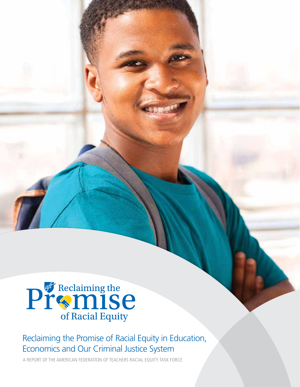

# Reclaiming the Promise of Racial Equity in Education, Economics and Our Criminal Justice System

A REPORT OF THE AMERICAN FEDERATION OF TEACHERS RACIAL EQUITY TASK FORCE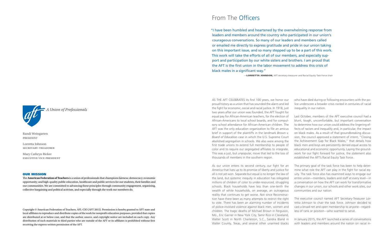Randi Weingarten president

Lorretta Johnson secretary-treasurer

Mary Cathryn Ricker executive vice president

#### OUR MISSION

The **American Federation of Teachers** is a union of professionals that champions fairness; democracy; economic opportunity; and high-quality public education, healthcare and public services for our students, their families and our communities. We are committed to advancing these principles through community engagement, organizing, collective bargaining and political activism, and especially through the work our members do.

Copyright © American Federation of Teachers, AFL-CIO (AFT 2015). Permission is hereby granted to AFT state and local affiliates to reproduce and distribute copies of the work for nonprofit education purposes, provided that copies are distributed at or below cost, and that the author, source, and copyright notice are included on each copy. Any distribution of such materials to third parties who are outside of the AFT or its affiliates is prohibited without first receiving the express written permission of the AFT.

# From The Officers

AS THE AFT CELEBRATES its first 100 years, we honor our proud history as a union that has sounded the alarm and led the fight for economic, social and racial justice. In 1918, just two years after our union was founded, the AFT fought for equal pay for African-American teachers, for the election of African-Americans to local school boards, and for compulsory school attendance for African-American children. The AFT was the only education organization to file an amicus brief in support of the plaintiffs in the landmark *Brown v. Board of Education* case in which the U.S. Supreme Court abolished segregation in schools. We also were among the first trade unions to extend full membership to people of color and to require our segregated affiliates to integrate. This was a just, but unpopular, move that led to the loss of thousands of members in the southern region. who have died during or following encounters with the police underscore a broader crisis rooted in centuries of racial inequality in our nation. Last October, members of the AFT executive council had a blunt, tough, uncomfortable, but important conversation to determine how our union could address the lingering effects of racism and inequality and, in particular, the impact on black males. As a result of that groundbreaking discussion, the council approved a statement of intent, "Closing the Achievement Gap for Black Males," that details how black men and boys are persistently denied equal access to educational and economic opportunity. Laying the groundwork for our fight forward for justice, the statement also established the AFT's Racial Equity Task Force.

As our union enters its second century, our fight for an America that lives up to its promise of liberty and justice for all is not yet won. Separate but equal is no longer the law of the land, but systemic inequity in education has relegated millions of children of color to under-resourced, struggling schools. Black households have less than one-tenth the wealth of white households, on average, an outrageous reality that continues to get worse. Not since Reconstruction have there been as many attempts to restrict the right to vote. There has been an alarming number of incidents of police-involved violence against black men, women and children. The tragic deaths of Michael Brown in Ferguson, Mo., Eric Garner in New York City, Tamir Rice in Cleveland, Walter Scott in North Charleston, S.C., Sandra Bland in Waller County, Texas, and several other unarmed blacks The primary goal of the task force has been to help determine what role the AFT can play in the fight for racial equity. The task force also has examined ways to engage our entire union—members, leaders and staff at every level—in a conversation on how the AFT can work for transformative changes in our union, our schools and other work sites, our communities and our nation. The executive council named AFT Secretary-Treasurer Lorretta Johnson to chair the task force. Johnson decided to cast a broad net and open membership to anyone—regardless of rank or position—who wanted to serve. In January 2015, the AFT launched a series of conversations with leaders and members around the nation on racial in-

"I have been humbled and heartened by the overwhelming response from leaders and members around the country who participated in our union's courageous conversations. So many of our leaders and members called or emailed me directly to express gratitude and pride in our union taking on this important issue, and so many stepped up to be a part of this work. This work will take the efforts of all of our members, and especially support and participation by our white sisters and brothers. I am proud that the AFT is the first union in the labor movement to address this crisis of black males in a significant way."

**-LORRETTA JOHNSON, AFT secretary-treasurer and Racial Equity Task Force chair** 



A Union of Professionals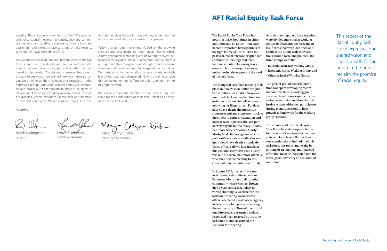The Racial Equity Task Force has now met twice, both times in cities— Baltimore and St. Louis—that have become important battlegrounds in the fight for racial justice. Over the past year, racial tensions erupted into community uprisings and international attention following tragic events in both metropolitan areas, underscoring the urgency of the work of the task force.

The inaugural task force meeting took place in June 2015 in Baltimore, just two months after Freddie Gray—an unarmed black man—died from injuries he sustained in police custody following his illegal arrest. For days after Gray's death, the protestors some peaceful and some not—took to the streets to express frustration and outrage over injustices that are part of everyday life for too many. In May, Baltimore State's Attorney Marilyn Mosby filed charges against six city police officers after a medical examiner ruled Gray's death a homicide. Those officers all will face trial later this year and early next year. Mosby was one of several Baltimore officials who attended the meeting to welcome task force members to the city.

In August 2015, the task force met in St. Louis, a short distance from Ferguson, Mo.—the small suburban community where Michael Brown died a year earlier in a police-involved shooting. A week before the task force meeting, local elected officials declared a state of emergency in Ferguson when protests marking the anniversary of Brown's death and unaddressed issues turned violent. Peace had been restored by the time task force members arrived in St. Louis for the meeting.

At both meetings, task force members were divided into smaller working groups to delve into the three major issue areas that were identified as a result of the union-wide conversations around racial inequalities. The

three groups were the:

• Educational Justice Working Group, • Economic Justice Working Group, and • Criminal Justice Working Group.

The greater part of the task force's time was spent developing recommendations during working group sessions. In addition, experts in education, economics and the criminal justice system addressed participants during plenary sessions to help provide a framework for the working group sessions.



The members of the Racial Equity Task Force have developed a frame for our union's work—at the national, state and local levels. Rather than representing the culmination of this task force, this report marks the beginning of an ongoing, multifaceted effort that must be integrated into the work, goals, advocacy and mission of

our union.

equality. Those discussions—at each of the AFT's program and policy council meetings, at constituency and committee meetings, and at affiliate conferences—were blunt and passionate, and yielded a diverse group of volunteers to serve on the newly formed task force.

The executive council determined that the work of the task force should focus on developing real, union-driven solutions to address racial justice, particularly what has happened to black males. The decision to narrow the scope of the task force's work, however, is in no way meant to marginalize or minimize the challenges and struggles of other oppressed groups. Our work in racial equity will strengthen and propel our fight forward to defend the rights of all working Americans, including women, people of color, the disabled, ethnic minorities, immigrants and members of the LGBT community. We are confident the AFT's efforts to fight inequities for black males will help reclaim our nation's promises of liberty and justice for all people.

Today, a grass-roots movement—fueled by the growing crisis around racial inequities in our nation—has emerged. A new generation is standing and delivering a fervent demand for racial justice. We must recognize that their fight is our fight and their struggle is our struggle. This movement shows us that it is not enough to be against discrimination. We must act to fundamentally change a society in which black lives have been demeaned. Now is the time to seize this unique moment to reaffirm our union's commitment to this fight forward.

We sincerely thank the members of the Racial Equity Task Force for the contribution of their time, talent and energy to this important work.

Many Cathon Rick

In unity,

Randi Weingarten president

Lorretta Johnson

secretary-treasurer

executive vice president

# AFT Racial Equity Task Force

This report of the Racial Equity Task Force expresses our shared vision and charts a path for our union in the fight to reclaim the promise of racial equity.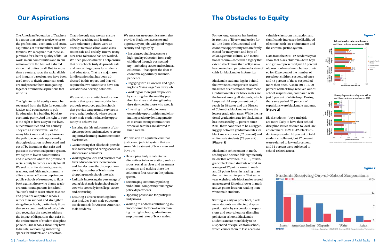The American Federation of Teachers is a union that strives to give voice to the professional, economic and social aspirations of our members and their families. We recognize that these aspirations for a better quality of life—at work, in our communities and in our nation—form the basis of a shared vision that unites us all. But for more than a century, race, the racial divide and inequity based on race have been used to try to divide American workers and prevent them from joining together around the aspirations that unite us.

The fight for racial equity cannot be separated from the fight for economic justice, and equal access to public education is a building block to economic parity. And the right to vote is the right to have a say in our lives, our communities and our country. They are all interwoven. For too many black men and boys, however, the path to economic opportunity through education is obstructed and cut off by inequities that exist and persist in our criminal justice system. We aspire to live in communities and in a nation where the promise of racial equity becomes a reality for all. We seek to unite students, parents, teachers, and faith and community allies to reject efforts to deprive our public schools of resources; to fight back against those who blame teachers, unions and parents for school "failure"; and to resist efforts to close and privatize our public schools, rather than support and strengthen struggling schools, particularly those that serve communities of color. We also recognize the need to address the impact of disparities that exist in the enforcement of student discipline policies. Our schools absolutely have to be safe, welcoming and caring spaces for students and educators.

That's the only way we can ensure effective teaching and learning. Zero-tolerance policies were an attempt to make schools and classrooms safe and orderly. But we recognize zero-tolerance has not worked. We need policies that will help ensure that our schools truly do provide safe and welcoming spaces for students and educators. That is a major area for discussion that has been addressed in this report, and that will require that we continue to have conversations to develop solutions.

We envision an equitable education system that guarantees world-class, properly resourced public schools that provide wraparound services in every neighborhood, where young black male students have the opportunity to achieve by:

- Ensuring the fair enforcement of discipline policies and practices to create supportive learning environments for black males.
- Guaranteeing that all schools provide safe, welcoming and caring spaces for students and educators.
- Working for policies and practices that favor education over incarceration and that decrease the disproportionately high number of black males dropping out of schools into jails.
- Radically increasing the percentage of young black male high school graduates who are ready for college, career and citizenship.
- Ensuring a diverse teaching force that includes black male educators as role models for African-American male students.

We envision an economic system that provides black men access to and opportunity for jobs with good wages, security and dignity by:

- Ensuring equitable access to a high-quality education from early childhood through postsecondary—including career and technical education—that opens the door to economic opportunity and independence.
- Engaging with all workers and fighting for a "living wage" for every job.
- Working for more just tax policies by ensuring that the wealthy pay their fair share and strengthening the safety net for those who need it.
- Investing in affordable home ownership opportunities and eliminating predatory lending practices to create strong communities where all families are allowed to build wealth.

We envision an equitable criminal justice and judicial system that ensures fair treatment of black men and boys by:

- Developing truly rehabilitative alternatives to incarceration, such as robust social services and treatment programs, and making these the solution of first resort in the judicial system.
- Encouraging community policing and cultural competency training for police departments.
- Opposing private and for-profit jails and prisons.
- Working to address contributing socioeconomic factors—like increasing the high school graduation and employment rates of black males.

# **Our Aspirations Contract Contract Contract Contract Contract Contract Contract Contract Contract Contract Contract Contract Contract Contract Contract Contract Contract Contract Contract Contract Contract Contract Contrac**

For too long, America has broken its promise of liberty and justice for all. The doors of educational and economic opportunity remain firmly closed for many men and boys of color. Systemic cultural and institutional racism—rooted in a legacy that extends back more than 400 years has created and perpetuated a state of crisis for black males in America.

Black male students lag far behind their white counterparts in several measures of educational attainment. Graduation rates for black males are the lowest among all students, which keeps gainful employment out of reach. In 38 states and the District of Columbia, black males have the lowest graduation rates. While the national graduation rate for black males has increased by 10 percent since 2001, there continues to be a staggering gap between graduation rates for black male students (52 percent) and white male students (78 percent) . [Figure 1]

Black male achievement in math, reading and science falls significantly below that of whites. In 2013, fourthgrade black male students scored an average of 27 points lower in math and 29 points lower in reading than their white counterparts. That same year, eighth-grade black males scored an average of 33 points lower in math and 26 points lower in reading than white male students.

Starting as early as preschool, black male students are affected, disproportionately, by suspensions, expulsions and zero-tolerance discipline policies in schools. Black male students are far more likely to be suspended or expelled from school, which causes them to lose access to

valuable classroom instruction and significantly increases the likelihood of contact with law enforcement and the criminal justice system.

Data from the 2011-12 academic year show that black children—both boys and girls—represented just 18 percent of preschool enrollment but accounted for 42 percent of the number of preschool children suspended once and 48 percent of those suspended more than once. Also in 2011-12, 20 percent of black boys received out-ofschool suspensions, compared with just 6 percent of white boys. During that same period, 26 percent of expulsions were black male students. [Figure 2]

Black students—boys and girls are more likely to have their school discipline issues referred to local law enforcement. In 2011-12, black students represented 16 percent of total student enrollment, but 27 percent were referred to law enforcement and 31 percent were subjected to school-related arrest.







### Figure 1

2 | American Federation of Teachers **Reclaiming the Promise of Racial Equity | 3** | American Federation of Teachers **Reclaiming the Promise of Racial Equity | 3** 

# Figure 2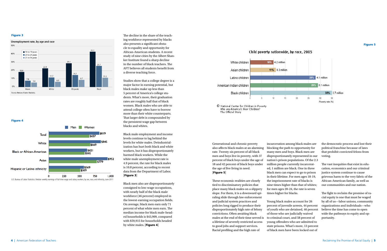The decline in the share of the teaching workforce represented by blacks also presents a significant obstacle to equality and opportunity for African-American students. A recent study of nine cities by the Albert Shanker Institute found a sharp decline in the number of black teachers. The AFT believes all students benefit from a diverse teaching force.

Black men also are disproportionately consigned to low-wage occupations, with nearly half of the black male workforce (46 percent) employed in the lowest-earning occupation fields. On average, black men earn only 71 percent of what white men earn. The median income for black male-headed households is \$43,909, compared with \$59,915 for households headed by white males. [Figure 4]

# Child poverty nationwide, by race, 2005



C National Center for Children in Poverty Who are America's Poor Children? The Official Story

Studies show that a college degree is a major factor in earning potential, but black males make up less than 5 percent of America's college students. What's more, their graduation rates are roughly half that of black women. Black males who are able to attend college often have to borrow more than their white counterparts. That larger debt is compounded by the persistent wage gap between blacks and whites.

Black male employment and income levels continue to lag behind the levels for white males. Deindustrialization has hurt both black and white workers, but it has disproportionately harmed black workers. While the white male unemployment rate is 4.9 percent, the rate for black males is 10.8 percent, according to recent data from the Department of Labor. [Figure 3]

Generational and chronic poverty also affects black males at an alarming rate. Twenty-six percent of all black men and boys live in poverty, with 37 percent of black boys under the age of 18 and 42 percent of black boys under the age of five living in need. [Figure 5]

These economic realities are closely tied to discriminatory policies that place many black males on a slippery slope. For them, it is a downward spiraling slide through law enforcement and judicial system practices and policies long rigged to produce their disproportionately high rate of felony convictions. Often awaiting black males at the end of their time served is a lifetime of severely restricted access to good jobs and support services. Racial profiling and the high rate of

incarceration among black males are blocking the path to opportunity for many men and boys. Black men are disproportionately represented in our nation's prison populations. Of the 2.3 million people currently incarcerated, 1 million are black. One in three black men can expect to go to prison in their lifetime. For men ages 18-19, the imprisonment rate of blacks is nine times higher than that of whites; for men ages 20-24, the rate is seven times higher for blacks.

Young black males account for 26 percent of juvenile arrests, 44 percent of youth who are detained, 46 percent of those who are judicially waived to criminal court, and 58 percent of young offenders who are admitted to state prisons. What's more, 13 percent of black men have been locked out of

the democratic process and lost their political franchise because of laws that prohibit convicted felons from voting.

The vast inequities that exist in education, economics and our criminal justice system continue to cause grievous harm to the very fabric of the African-American family, as well as our communities and our nation.

The fight to reclaim the promise of racial equity is one that must be waged by all of us—labor unions, community organizations and individuals—who believe the time has come to open wide the pathways to equity and opportunity.

#### Figure 3



Figure 4



U.S. Bureau of Labor Statistics. Median weekly earnings of full-time wage and salary workers, by sex, race, and ethnicity, June 2011

#### Figure 5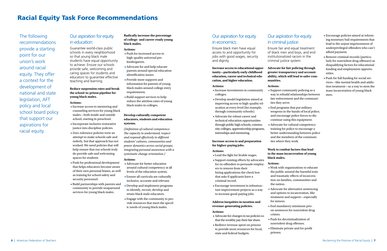# Our aspiration for equity in education:

Guarantee world-class public schools in every neighborhood so that young black male students have equal opportunity to achieve. Ensure our schools provide safe, welcoming and caring spaces for students and educators to guarantee effective teaching and learning.

# **Reduce suspension rates and break the school-to-prison pipeline for young black males.**

## **Actions:**

- Increase access to mentoring and counseling services for young black males—both inside and outside school, starting in preschool.
- Incorporate inclusive restorative justice into discipline policies.
- Zero-tolerance policies were an attempt to make schools safe and orderly, but that approach has not worked. We need policies that will help ensure that our schools truly do provide safe and welcoming spaces for students
- Push for professional development that helps educators become aware of their own personal biases, as well as training for school safety and security personnel.
- Build partnerships with parents and community to provide wraparound services for young black males.

# **Radically increase the percentage of college- and career-ready young black males.**

### **Actions:**

- Push for increased access to high-quality universal prekindergarten.
- Advocate for and help educate parents around special education identification issues.
- Provide more supports and information for parents of young black males around college entry requirements.
- Build support services to help reduce the attrition rates of young black males in colleges.

# **Develop culturally competent educators, students and education systems.**

*(Definition of cultural competence: The capacity to understand, respect and respond effectively to different students' cultures, communities and power dynamics across social groups; integrating personal awareness with a systematic change orientation.)*

### **Actions:**

- Advocate for better education around cultural competency at all levels of the education system.
- Ensure all curricula are culturally inclusive, accurate and relevant.
- Develop and implement programs to identify, recruit, develop and retain black male educators.
- Engage with the community to provide resources that meet the specific needs of young black males.

# Our aspiration for equity in economics:

Ensure black men have equal access to and opportunity for jobs with good wages, security and dignity.

**Increase access to educational opportunity—particularly early childhood education, career and technical education, and higher education.**

### **Actions:**

- Increase investments in community colleges.
- Develop model legislation aimed at improving access to high-quality education at every level (for example, through community schools).
- Advocate for robust career and technical education opportunities through public high schools, community colleges, apprenticeship programs, internships and mentoring.

# **Increase access to and preparation for higher-paying jobs.**

# **Actions:**

- Lead the fight for livable wages.
- Support existing efforts by advocates for ex-offenders to persuade employers to remove from their hiring applications the check box that asks if applicants have a criminal record.
- Encourage investment in infrastructure improvement projects as a way to increase good-paying jobs.

# **Address inequities in taxation and revenue-generating policies.**

## **Actions:**

- Advocate for changes in tax policies so that the wealthy pay their fair share.
- Redirect revenue spent on prisons to provide more resources for local, state and federal budgets.

# Our aspiration for equity in criminal justice:

Ensure fair and equal treatment of black men and boys, and end institutionalized racism in the criminal justice system.

# **Advocate for fair policing through greater transparency and accountability, which will lead to safer com-**

**munities.**

# **Actions:**

**•** Support community policing as a way to rebuild relationships between law enforcement and the communi-

**•** End programs that put military weapons in the hands of local police, and encourage police forces to discontinue using this equipment.

- ties they serve.
- 
- ties where they work.

**•** Advocate for cultural competency training for police to encourage a better understanding between police and the members of the communi-

# **Work to combat factors that lead to the mass incarceration of young black males.**

# **Actions:**

**•** Work with organizations to educate the public around the harmful toxic and traumatic effects of incarceration on families, communities and

**•** Advocate for alternative sentencing and options to incarceration, like treatment and support—especially

- the nation.
- for minors.
- crimes.
- 
- prisons.

**•** End mandatory minimum prison sentences for nonviolent drug

**•** Push for decriminalization of nonviolent drug offenses.

**•** Eliminate private and for-profit

- Encourage policies aimed at reforming monetary bail requirements that lead to the unjust imprisonment of underprivileged offenders who can't afford payment.
- Remove criminal records (particularly for nonviolent drug offenses) as disqualifying factors for educational funding and employment opportunities.
- Push for full funding for social services—like mental health and addiction treatment—as a way to stem the mass incarceration of young black men.

# Racial Equity Task Force Recommendations

The following recommendations provide a starting point for our union's work around racial equity. They offer a context for the development of national and state legislation, AFT policy and local school board policy that support our aspirations for racial equity.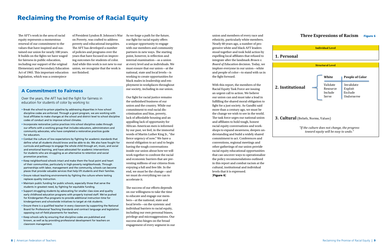The AFT's work in the area of racial equity represents a momentous renewal of our commitment to the values that have inspired and sustained our union for nearly 100 years. It builds on the fights we have waged for fairness in public education, including our support of the original Elementary and Secondary Education Act of 1965. This important education legislation, which was a centerpiece

of President Lyndon B. Johnson's War on Poverty, was crafted to address poverty and educational inequities. The AFT has developed a number of policies and programs over the years that have focused on improving outcomes for students of color. And while this work is not new to our union, we recognize that the work is not finished.

union and members of every race and ethnicity, particularly white members. Nearly 60 years ago, a number of progressive white and black AFT leaders stood together and took bold action by expelling local affiliates that refused to integrate after the landmark *Brown v. Board of Education* decision. Today, we implore everyone in our union—white and people of color—to stand with us in the fight forward.

With this report, the members of the Racial Equity Task Force are issuing an urgent call to action. We believe our union can and must take a lead in fulfilling the shared moral obligation to fight for a just society. As Gandhi said more than a century ago, we must be the change we wish to see in the world. The task force urges our national union and affiliates to hold tough, honest racial equity conversations and workshops to expand awareness, deepen understanding and build a widely shared commitment to act. Conferences and conventions, regional meetings and other gatherings of our union provide racial equity educational opportunities that can uncover ways to operationalize the policy recommendations outlined in this report and combat racism at the cultural, institutional and individual levels that it is expressed. [Figure 6]

# **Three Expressions of Racism** Figure 6

# Reclaiming the Promise of Racial Equity

# A Commitment to Fairness

Over the years, the AFT has led the fight for fairness in education for students of color by working to:

- Break the school-to-prison pipeline by addressing disparities in how school discipline codes are enforced. Through a grant program, we are working with local affiliates to make changes at the school and district level to school discipline codes of conduct and to improve school climates.
- Incorporate restorative justice practices into school discipline codes through our efforts with a working group that includes educators, administrators and community advocates, who have completed a restorative practices guide for educators.
- Combat the culture of low expectations by fighting for academic standards that define what all students should know and be able to do. We also have fought for curricula and pathways to engage the whole child through art, music, and social and emotional learning, and have advocated for academic interventions for students who are struggling as an alternative to retention and social promotion practices.
- Keep neighborhood schools intact and make them the focal point and heart of their communities, particularly in high-poverty neighborhoods. Through partnerships with labor, management and the community, schools can become places that provide valuable services that help lift students and their families.
- Ensure robust teaching environments by fighting the culture where testing replaces quality instruction.
- Maintain public funding for public schools, especially those that serve the students in greatest need, by fighting for equitable funding.
- Support struggling students by advocating for smaller class sizes and quality early childhood education programs with properly trained staff. We've pushed for Kindergarten-Plus programs to provide additional instruction time for kindergartners and schoolwide initiatives to target at-risk students.
- Ensure there is a qualified teacher in every classroom by supporting the National Board for Professional Teaching Standards and contract language and legislation opposing out-of-field placements for teachers.
- Keep schools safe by ensuring that discipline codes are published and known, as well as by providing professional development for teachers on classroom management.



As we forge a path for the future, our fight for racial equity offers a unique opportunity to engage with our members and community partners in new ways. The starting point, however, is reflection and internal examination—as a union at every level and as individuals. We must ensure that our union—at the national, state and local levels—is working to create opportunities for black males in leadership and employment in workplaces throughout our society, including in our union.

Our fight for racial justice remains the unfinished business of our union and the country. While our commitment to end racial discrimination and bias, poverty, lack of affordable housing and an appalling lack of opportunity for African-American men is informed by our past, we feel, in the immortal words of Martin Luther King Jr., "the fierce urgency of now." We have a moral obligation to act and to begin having the tough conversations inside our union about how we will work together to confront the racial and economic barriers that are preventing millions of our citizens from enjoying a full and free life. In the end, we must be the change—and we must do everything we can to accelerate it.

The success of our efforts depends on our willingness to take the time to educate and engage our members—at the national, state and local levels—on the systemic and individual barriers to racial equity, including our own personal biases, privilege and microaggressions. Our success also hinges on the broad engagement of every segment in our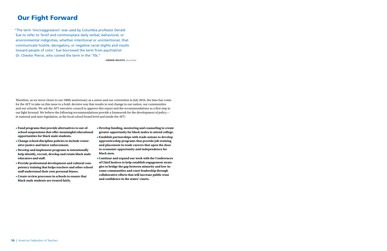Therefore, as we move closer to our 100th anniversary as a union and our convention in July 2016, the time has come for the AFT to take on this issue in a bold, decisive way that results in real change in our nation, our communities and our schools. We ask the AFT executive council to approve this report and the recommendations as a first step in our fight forward. We believe the following recommendations provide a framework for the development of policy in national and state legislation, at the local school board level and inside the AFT:

- **Fund programs that provide alternatives to out-ofschool suspensions that offer meaningful educational opportunities for black male students.**
- **Change school discipline policies to include restorative justice and fairer enforcement.**
- **Develop and implement programs to intentionally help identify, recruit, develop and retain black male educators and staff.**
- **Provide professional development and cultural competency training that helps teachers and other school staff understand their own personal biases.**
- **Create review processes in schools to ensure that black male students are treated fairly.**
- **Develop funding, mentoring and counseling to create greater opportunity for black males to attend college.**
- **Establish partnerships with trade unions to develop apprenticeship programs that provide job training and placement in trade careers that open the door to economic opportunity and independence for black men.**
- **Continue and expand our work with the Conferences of Chief Justices to help establish engagement strategies to bridge the gap between minority and low-income communities and court leadership through collaborative efforts that will increase public trust and confidence in the states' courts.**

"The term 'microaggression' was used by Columbia professor Derald Sue to refer to 'brief and commonplace daily verbal, behavioral, or environmental indignities, whether intentional or unintentional, that communicate hostile, derogatory, or negative racial slights and insults toward people of color.' Sue borrowed the term from psychiatrist Dr. Chester Pierce, who coined the term in the '70s."

—HEBEN NIGATU, BuzzFeed

# Our Fight Forward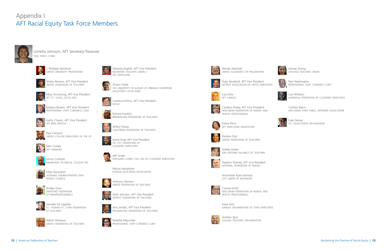# Appendix I AFT Racial Equity Task Force Members



Lorretta Johnson, AFT Secretary-Treasurer task force chair



J. Phillippe Abraham united university professions



Shelvy Abrams, AFT Vice President united federation of teachers



Mary Armstrong, AFT Vice President aft st. louis, local 420



Barbara Bowen, AFT Vice President professional staff congress cuny



Kathy Chavez, AFT Vice President aft new mexico

Catalina Fortino, AFT Vice President **NYSUT** 



Paul Clement united college employees of the fit



Mari Cordes aft vermont



Jimmy Crockett milwaukee technical college fed



Ethel Davenport veterans administration staff nurses council



Shellye Davis hartford federation of paraprofessionals



Vernelle De Lagarde st. thomas-st. john federation of teachers



Adhim DeVeaux united federation of teachers

Marietta English, AFT Vice President baltimore teachers union /

aft maryland





Shawn Fields the university of illinois at urbana-champaign geo,ift/aft local 6300





Jeffery Freitas california federation of teachers



David Gray, AFT Vice President ok city federation of classified employees



Jeff Grider portland comm coll fed of classified employees



florida education association



Anthony Harmon united federation of teachers



Keith Johnson, AFT Vice President detroit federation of teachers



Jerry Jordan, AFT Vice President philadelphia federation of teachers



Nivedita Majumdar professional staff congress cuny



Wende Marshall united academics of philadelphia



Ruby Newbold, AFT Vice President detroit association of office employees



Lisa Ochs aft kansas



Candice Owley, AFT Vice President wisconsin federation of nurses and

health professionals

Debra Perry aft maryland healthcare





Darlene Post united federation of teachers



Shelley Potter san antonio alliance of teachers



Stephen Rooney, AFT Vice President national federation of nurses

Antoinette Ryan-Johnson city union of baltimore



Connie Smith wisconsin federation of nurses and health professionals





Andrew Spar volusia teachers organization



Johnae Strong chicago teachers union



Paul Washington professional staff congress cuny



Carl Williams lawndale federation of classified employees

Cynthia Wynn wisconsin state public defender association



Kate Zaman ta's association uw-madison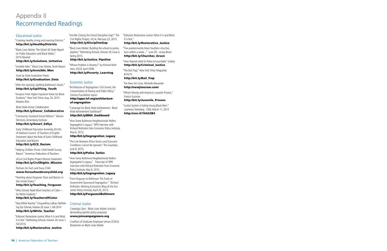

# Educational Justice

"Creating Healthy Living and Learning Districts." http://bit.ly/HealthyDistricts

"Black Lives Matter: The Schott 50 State Report on Public Education and Black Males," 2015-Revised

# http://bit.ly/Solutions\_Initiative

"Invisible Men." Black Lives Matter, Shott Report. http://bit.ly/Invisible\_Men

State by State Graduation Rates http://bit.ly/Graduation\_Data

"After the Uprising: Uplifting Baltimore's Youth." http://bit.ly/Uplifting\_Youth

"Analysis Finds Higher Expulsion Rates for Black Students." New York Times. Aug. 24, 2015. Motoko Rich.

Black Male Donor Collaborative http://bit.ly/Donor\_Collaborative

"Community Centered School Reform." Warren Simmons, Annenberg Institute.

### http://bit.ly/Smart\_EdSys

Early Childhood Education Assembly (ECEA) of National Council of Teachers of English Statement about the Role of Early Childhood Education and Racism

http://bit.ly/ECE\_Racism

"Helping Children Thrive: Child Health Survey Report." American Federation of Teachers.

UCLA Civil Rights Project Mission Statement http://bit.ly/CivilRights\_Mission

Partners for Each and Every Child www.foreachandeverychild.org

"Teaching about Ferguson: Race and Racism in the United States."

### http://bit.ly/Teaching\_Ferguson

"Why Schools Need More Teachers of Color for White Students."

## http://bit.ly/TeachersOfColor

"Dear White Teacher." Chrysanthius Lathan. Rethinking Our Schools, Volume 29, Issue 1, Fall 2014 http://bit.ly/White\_Teacher

"Editorial: Restorative Justice, What It Is and What It Is Not." Rethinking Schools, Volume 29, Issue 1, Fall 2014.

http://bit.ly/Restorative\_Justice

"Are We Closing the School Discipline Gap?" The Civil Rights Project, UCLA, February 23, 2015. http://bit.ly/DisciplineGap

"Black Lives Matter: Building the school-to-justice pipeline." Rethinking Schools, Volume 29, Issue 3, Spring 2015.

# http://bit.ly/Justice\_Pipeline

"Whose Problem is Poverty?" by Richard Rothstein, ASCD, April 2008. http://bit.ly/Poverty\_Learning

# Economic Justice "Architecture of Segregation: Civil Unrest, the Concentration of Poverty and Public Policy."

Century Foundation report

# http://apps.tcf.org/architectureof-segregation

"Campaign for Black Male Achievement: Black Male Achievement Dashboard"

# http://bit.ly/BMA\_Dashboard

"How Some Baltimore Neighborhoods Reflect Segregation's Legacy." NPR interview with Richard Rothstein from Economic Policy Institute, May 6, 2015.

# http://bit.ly/Segregration\_Legacy

"The Link Between Police Tactics and Economic Conditions Cannot Be Ignored." The Guardian, June 8, 2015.

### http://bit.ly/Police\_Tactics

"How Some Baltimore Neighborhoods Reflect Segregation's Legacy." Transcript of NPR Interview with Richard Rothstein from Economic Policy Institute, May 6, 2015.

# http://bit.ly/Segregration\_Legacy

"From Ferguson to Baltimore: The Fruits of Government-Sponsored Segregation." Richard Rothstein. Working Economics Blog of the Economic Policy Institute, April 20, 2015. http://bit.ly/Ferguson2Baltimore

# Criminal Justice

Campaign Zero - Black Lives Matter activists demanding specific policy proposals www.joincampaignzero.org

Coalition of Graduate Employee Unions (CGEU) Resolution on Black Lives Matter

"Editorial: Restorative Justice: What It Is and What It is Not."

### http://bit.ly/Restorative\_Justice

"Five predominantly black Southern churches burn within a week..." June 29 - Linsey Bever http://bit.ly/Churches\_Arson

"How Newark Held Its Police Accountable" (video) http://bit.ly/Criminal\_Justice

"The Bail Trap," New York Times Magazine. 8/16/15

# http://bit.ly/Bail\_Trap

The New Jim Crow. Michelle Alexander http://newjimcrow.com/

"What's Wrong with America's Juvenile Prisons." Francis Guzman

## http://bit.ly/Juvenile\_Prisons

"Justice System is Failing Young Black Men." Lawrence Steinberg. CNN, March 11, 2014 http://cnn.it/1hhG3B4

# Appendix II Recommended Readings